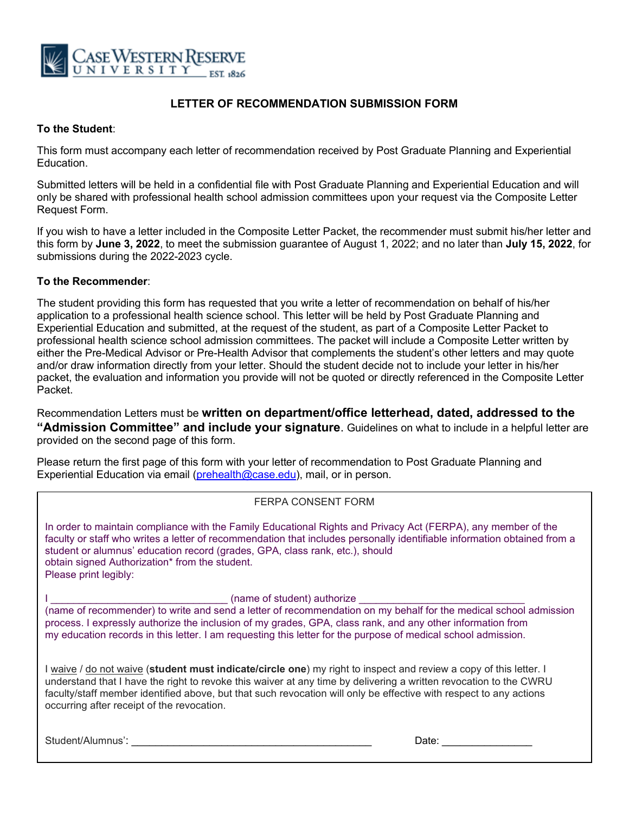

# **LETTER OF RECOMMENDATION SUBMISSION FORM**

#### **To the Student**:

This form must accompany each letter of recommendation received by Post Graduate Planning and Experiential Education.

Submitted letters will be held in a confidential file with Post Graduate Planning and Experiential Education and will only be shared with professional health school admission committees upon your request via the Composite Letter Request Form.

If you wish to have a letter included in the Composite Letter Packet, the recommender must submit his/her letter and this form by **June 3, 2022**, to meet the submission guarantee of August 1, 2022; and no later than **July 15, 2022**, for submissions during the 2022-2023 cycle.

#### **To the Recommender**:

l<br>-

The student providing this form has requested that you write a letter of recommendation on behalf of his/her application to a professional health science school. This letter will be held by Post Graduate Planning and Experiential Education and submitted, at the request of the student, as part of a Composite Letter Packet to professional health science school admission committees. The packet will include a Composite Letter written by either the Pre-Medical Advisor or Pre-Health Advisor that complements the student's other letters and may quote and/or draw information directly from your letter. Should the student decide not to include your letter in his/her packet, the evaluation and information you provide will not be quoted or directly referenced in the Composite Letter Packet.

Recommendation Letters must be **written on department/office letterhead, dated, addressed to the "Admission Committee" and include your signature**. Guidelines on what to include in a helpful letter are provided on the second page of this form.

Please return the first page of this form with your letter of recommendation to Post Graduate Planning and Experiential Education via email (prehealth@case.edu), mail, or in person.

### FERPA CONSENT FORM

In order to maintain compliance with the Family Educational Rights and Privacy Act (FERPA), any member of the faculty or staff who writes a letter of recommendation that includes personally identifiable information obtained from a student or alumnus' education record (grades, GPA, class rank, etc.), should obtain signed Authorization\* from the student. Please print legibly:

I \_\_\_\_\_\_\_\_\_\_\_\_\_\_\_\_\_\_\_\_\_\_\_\_\_\_\_\_\_\_\_ (name of student) authorize \_\_\_\_\_\_\_\_\_\_\_\_\_\_\_\_\_\_\_\_\_\_\_\_\_\_\_\_\_

(name of recommender) to write and send a letter of recommendation on my behalf for the medical school admission process. I expressly authorize the inclusion of my grades, GPA, class rank, and any other information from my education records in this letter. I am requesting this letter for the purpose of medical school admission.

I waive / do not waive (**student must indicate/circle one**) my right to inspect and review a copy of this letter. I understand that I have the right to revoke this waiver at any time by delivering a written revocation to the CWRU faculty/staff member identified above, but that such revocation will only be effective with respect to any actions occurring after receipt of the revocation.

Student/Alumnus': \_\_\_\_\_\_\_\_\_\_\_\_\_\_\_\_\_\_\_\_\_\_\_\_\_\_\_\_\_\_\_\_\_\_\_\_\_\_\_\_ Date: \_\_\_\_\_\_\_\_\_\_\_\_\_\_\_